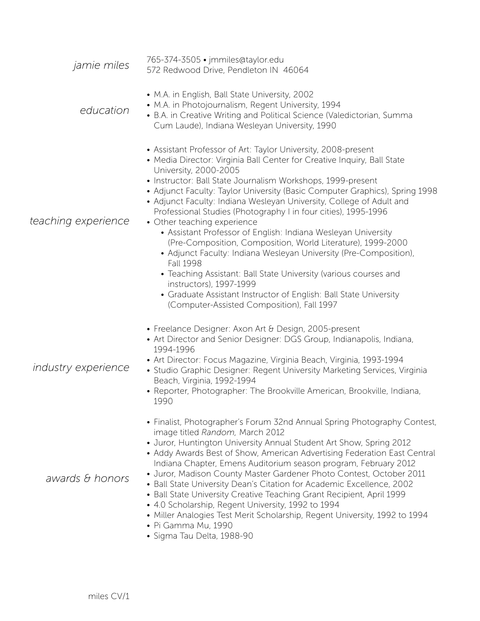| <i>jamie miles</i>         | 765-374-3505 · jmmiles@taylor.edu<br>572 Redwood Drive, Pendleton IN 46064                                                                                                                                                                                                                                                                                                                                                                                                                                                                                                                                                                                                                                                                                                                                                                                                                                                          |
|----------------------------|-------------------------------------------------------------------------------------------------------------------------------------------------------------------------------------------------------------------------------------------------------------------------------------------------------------------------------------------------------------------------------------------------------------------------------------------------------------------------------------------------------------------------------------------------------------------------------------------------------------------------------------------------------------------------------------------------------------------------------------------------------------------------------------------------------------------------------------------------------------------------------------------------------------------------------------|
| education                  | • M.A. in English, Ball State University, 2002<br>• M.A. in Photojournalism, Regent University, 1994<br>• B.A. in Creative Writing and Political Science (Valedictorian, Summa<br>Cum Laude), Indiana Wesleyan University, 1990                                                                                                                                                                                                                                                                                                                                                                                                                                                                                                                                                                                                                                                                                                     |
| teaching experience        | • Assistant Professor of Art: Taylor University, 2008-present<br>• Media Director: Virginia Ball Center for Creative Inquiry, Ball State<br>University, 2000-2005<br>• Instructor: Ball State Journalism Workshops, 1999-present<br>• Adjunct Faculty: Taylor University (Basic Computer Graphics), Spring 1998<br>• Adjunct Faculty: Indiana Wesleyan University, College of Adult and<br>Professional Studies (Photography I in four cities), 1995-1996<br>• Other teaching experience<br>• Assistant Professor of English: Indiana Wesleyan University<br>(Pre-Composition, Composition, World Literature), 1999-2000<br>• Adjunct Faculty: Indiana Wesleyan University (Pre-Composition),<br><b>Fall 1998</b><br>• Teaching Assistant: Ball State University (various courses and<br>instructors), 1997-1999<br>• Graduate Assistant Instructor of English: Ball State University<br>(Computer-Assisted Composition), Fall 1997 |
| <i>industry experience</i> | • Freelance Designer: Axon Art & Design, 2005-present<br>• Art Director and Senior Designer: DGS Group, Indianapolis, Indiana,<br>1994-1996<br>· Art Director: Focus Magazine, Virginia Beach, Virginia, 1993-1994<br>• Studio Graphic Designer: Regent University Marketing Services, Virginia<br>Beach, Virginia, 1992-1994<br>• Reporter, Photographer: The Brookville American, Brookville, Indiana,<br>1990                                                                                                                                                                                                                                                                                                                                                                                                                                                                                                                    |
| awards & honors            | • Finalist, Photographer's Forum 32nd Annual Spring Photography Contest,<br>image titled Random, March 2012<br>• Juror, Huntington University Annual Student Art Show, Spring 2012<br>• Addy Awards Best of Show, American Advertising Federation East Central<br>Indiana Chapter, Emens Auditorium season program, February 2012<br>• Juror, Madison County Master Gardener Photo Contest, October 2011<br>• Ball State University Dean's Citation for Academic Excellence, 2002<br>• Ball State University Creative Teaching Grant Recipient, April 1999<br>• 4.0 Scholarship, Regent University, 1992 to 1994<br>• Miller Analogies Test Merit Scholarship, Regent University, 1992 to 1994<br>• Pi Gamma Mu, 1990<br>· Sigma Tau Delta, 1988-90                                                                                                                                                                                 |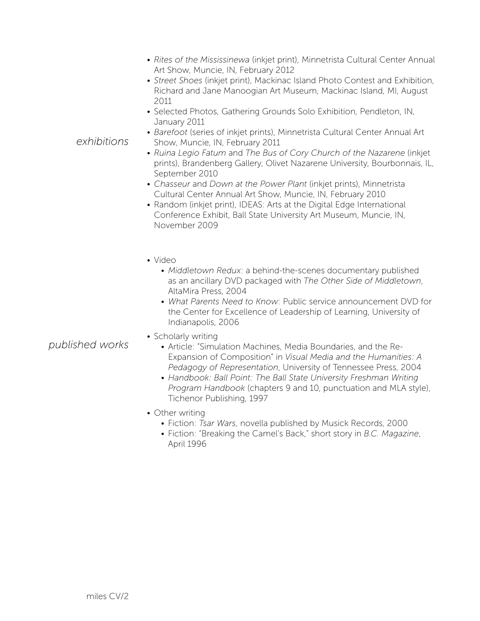- *Rites of the Mississinewa* (inkjet print), Minnetrista Cultural Center Annual Art Show, Muncie, IN, February 2012
- *Street Shoes* (inkjet print), Mackinac Island Photo Contest and Exhibition, Richard and Jane Manoogian Art Museum, Mackinac Island, MI, August 2011
- Selected Photos, Gathering Grounds Solo Exhibition, Pendleton, IN, January 2011
- *Barefoot* (series of inkjet prints), Minnetrista Cultural Center Annual Art Show, Muncie, IN, February 2011
- *Ruina Legio Fatum* and *The Bus of Cory Church of the Nazarene* (inkjet prints), Brandenberg Gallery, Olivet Nazarene University, Bourbonnais, IL, September 2010
- *Chasseur* and *Down at the Power Plant* (inkjet prints), Minnetrista Cultural Center Annual Art Show, Muncie, IN, February 2010
- Random (inkjet print), IDEAS: Arts at the Digital Edge International Conference Exhibit, Ball State University Art Museum, Muncie, IN, November 2009
- Video
	- *Middletown Redux*: a behind-the-scenes documentary published as an ancillary DVD packaged with *The Other Side of Middletown*, AltaMira Press, 2004
	- *What Parents Need to Know*: Public service announcement DVD for the Center for Excellence of Leadership of Learning, University of Indianapolis, 2006
- Scholarly writing
	- Article: "Simulation Machines, Media Boundaries, and the Re-Expansion of Composition" in *Visual Media and the Humanities: A Pedagogy of Representation*, University of Tennessee Press, 2004
	- *Handbook: Ball Point: The Ball State University Freshman Writing Program Handbook* (chapters 9 and 10, punctuation and MLA style), Tichenor Publishing, 1997
- Other writing
	- Fiction: *Tsar Wars*, novella published by Musick Records, 2000
	- Fiction: "Breaking the Camel's Back," short story in *B.C. Magazine*, April 1996

*exhibitions*

*published works*